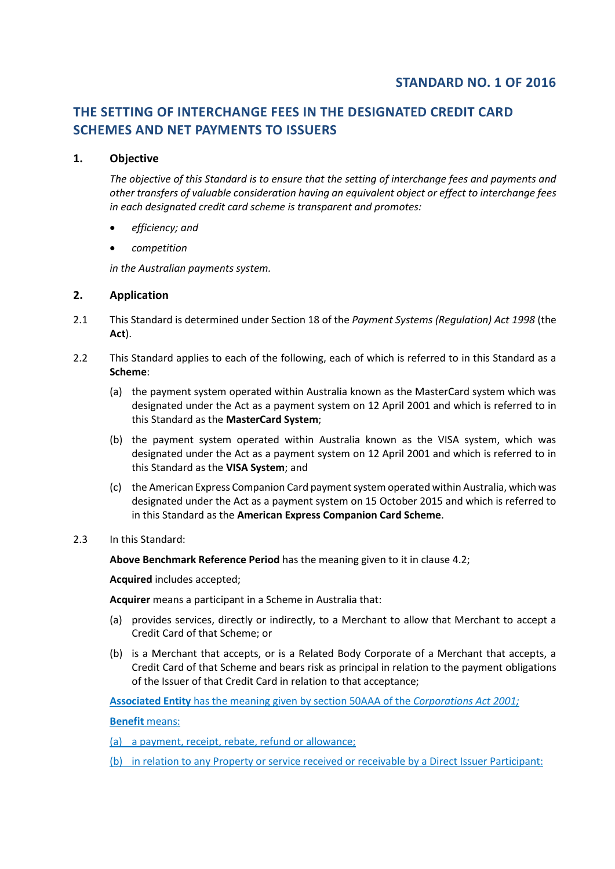# **THE SETTING OF INTERCHANGE FEES IN THE DESIGNATED CREDIT CARD SCHEMES AND NET PAYMENTS TO ISSUERS**

# **1. Objective**

*The objective of this Standard is to ensure that the setting of interchange fees and payments and other transfers of valuable consideration having an equivalent object or effect to interchange fees in each designated credit card scheme is transparent and promotes:*

- *efficiency; and*
- *competition*

*in the Australian payments system.* 

# **2. Application**

- 2.1 This Standard is determined under Section 18 of the *Payment Systems (Regulation) Act 1998* (the **Act**).
- 2.2 This Standard applies to each of the following, each of which is referred to in this Standard as a **Scheme**:
	- (a) the payment system operated within Australia known as the MasterCard system which was designated under the Act as a payment system on 12 April 2001 and which is referred to in this Standard as the **MasterCard System**;
	- (b) the payment system operated within Australia known as the VISA system, which was designated under the Act as a payment system on 12 April 2001 and which is referred to in this Standard as the **VISA System**; and
	- (c) the American Express Companion Card payment system operated within Australia, which was designated under the Act as a payment system on 15 October 2015 and which is referred to in this Standard as the **American Express Companion Card Scheme**.
- 2.3 In this Standard:

**Above Benchmark Reference Period** has the meaning given to it in clause 4.2;

**Acquired** includes accepted;

**Acquirer** means a participant in a Scheme in Australia that:

- (a) provides services, directly or indirectly, to a Merchant to allow that Merchant to accept a Credit Card of that Scheme; or
- (b) is a Merchant that accepts, or is a Related Body Corporate of a Merchant that accepts, a Credit Card of that Scheme and bears risk as principal in relation to the payment obligations of the Issuer of that Credit Card in relation to that acceptance;

**Associated Entity** has the meaning given by section 50AAA of the *Corporations Act 2001;*

**Benefit** means:

(a) a payment, receipt, rebate, refund or allowance;

(b) in relation to any Property or service received or receivable by a Direct Issuer Participant: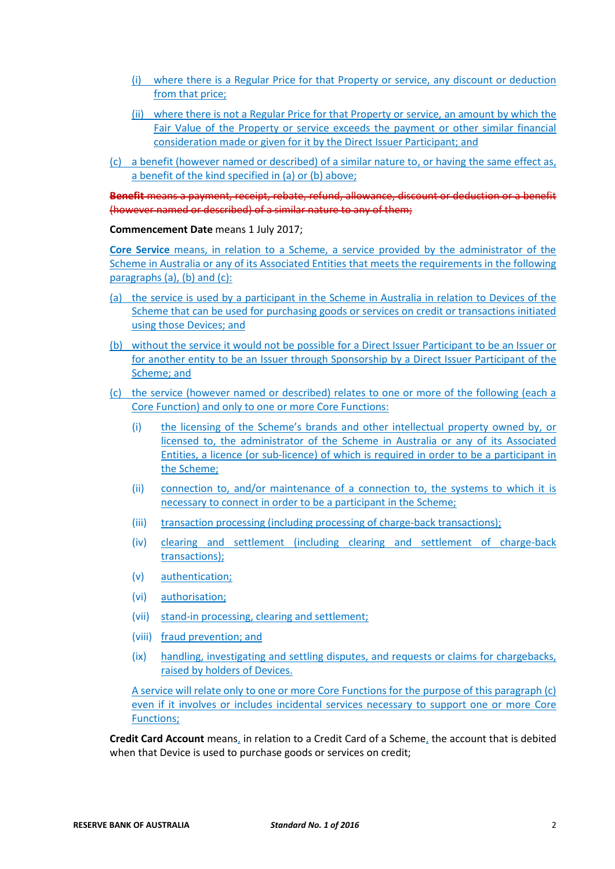- (i) where there is a Regular Price for that Property or service, any discount or deduction from that price;
- (ii) where there is not a Regular Price for that Property or service, an amount by which the Fair Value of the Property or service exceeds the payment or other similar financial consideration made or given for it by the Direct Issuer Participant; and
- (c) a benefit (however named or described) of a similar nature to, or having the same effect as, a benefit of the kind specified in (a) or (b) above;

**Benefit** means a payment, receipt, rebate, refund, allowance, discount or deduction or a benefit (however named or described) of a similar nature to any of them;

#### **Commencement Date** means 1 July 2017;

**Core Service** means, in relation to a Scheme, a service provided by the administrator of the Scheme in Australia or any of its Associated Entities that meets the requirements in the following paragraphs (a), (b) and (c):

- (a) the service is used by a participant in the Scheme in Australia in relation to Devices of the Scheme that can be used for purchasing goods or services on credit or transactions initiated using those Devices; and
- (b) without the service it would not be possible for a Direct Issuer Participant to be an Issuer or for another entity to be an Issuer through Sponsorship by a Direct Issuer Participant of the Scheme; and
- (c) the service (however named or described) relates to one or more of the following (each a Core Function) and only to one or more Core Functions:
	- (i) the licensing of the Scheme's brands and other intellectual property owned by, or licensed to, the administrator of the Scheme in Australia or any of its Associated Entities, a licence (or sub-licence) of which is required in order to be a participant in the Scheme;
	- (ii) connection to, and/or maintenance of a connection to, the systems to which it is necessary to connect in order to be a participant in the Scheme;
	- (iii) transaction processing (including processing of charge-back transactions);
	- (iv) clearing and settlement (including clearing and settlement of charge-back transactions);
	- (v) authentication;
	- (vi) authorisation;
	- (vii) stand-in processing, clearing and settlement;
	- (viii) fraud prevention; and
	- (ix) handling, investigating and settling disputes, and requests or claims for chargebacks, raised by holders of Devices.

A service will relate only to one or more Core Functions for the purpose of this paragraph (c) even if it involves or includes incidental services necessary to support one or more Core Functions;

**Credit Card Account** means, in relation to a Credit Card of a Scheme, the account that is debited when that Device is used to purchase goods or services on credit;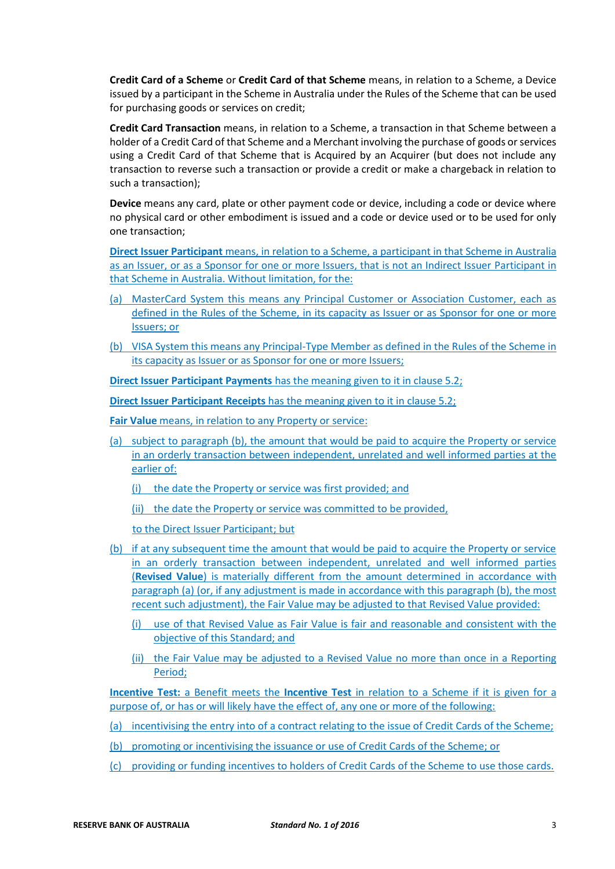**Credit Card of a Scheme** or **Credit Card of that Scheme** means, in relation to a Scheme, a Device issued by a participant in the Scheme in Australia under the Rules of the Scheme that can be used for purchasing goods or services on credit;

**Credit Card Transaction** means, in relation to a Scheme, a transaction in that Scheme between a holder of a Credit Card of that Scheme and a Merchant involving the purchase of goods or services using a Credit Card of that Scheme that is Acquired by an Acquirer (but does not include any transaction to reverse such a transaction or provide a credit or make a chargeback in relation to such a transaction);

**Device** means any card, plate or other payment code or device, including a code or device where no physical card or other embodiment is issued and a code or device used or to be used for only one transaction;

**Direct Issuer Participant** means, in relation to a Scheme, a participant in that Scheme in Australia as an Issuer, or as a Sponsor for one or more Issuers, that is not an Indirect Issuer Participant in that Scheme in Australia. Without limitation, for the:

- (a) MasterCard System this means any Principal Customer or Association Customer, each as defined in the Rules of the Scheme, in its capacity as Issuer or as Sponsor for one or more Issuers; or
- (b) VISA System this means any Principal-Type Member as defined in the Rules of the Scheme in its capacity as Issuer or as Sponsor for one or more Issuers;

**Direct Issuer Participant Payments** has the meaning given to it in clause 5.2;

**Direct Issuer Participant Receipts** has the meaning given to it in clause 5.2;

**Fair Value** means, in relation to any Property or service:

(a) subject to paragraph (b), the amount that would be paid to acquire the Property or service in an orderly transaction between independent, unrelated and well informed parties at the earlier of:

(i) the date the Property or service was first provided; and

(ii) the date the Property or service was committed to be provided,

to the Direct Issuer Participant; but

- (b) if at any subsequent time the amount that would be paid to acquire the Property or service in an orderly transaction between independent, unrelated and well informed parties (**Revised Value**) is materially different from the amount determined in accordance with paragraph (a) (or, if any adjustment is made in accordance with this paragraph (b), the most recent such adjustment), the Fair Value may be adjusted to that Revised Value provided:
	- (i) use of that Revised Value as Fair Value is fair and reasonable and consistent with the objective of this Standard; and
	- (ii) the Fair Value may be adjusted to a Revised Value no more than once in a Reporting Period;

**Incentive Test:** a Benefit meets the **Incentive Test** in relation to a Scheme if it is given for a purpose of, or has or will likely have the effect of, any one or more of the following:

- (a) incentivising the entry into of a contract relating to the issue of Credit Cards of the Scheme;
- (b) promoting or incentivising the issuance or use of Credit Cards of the Scheme; or
- (c) providing or funding incentives to holders of Credit Cards of the Scheme to use those cards.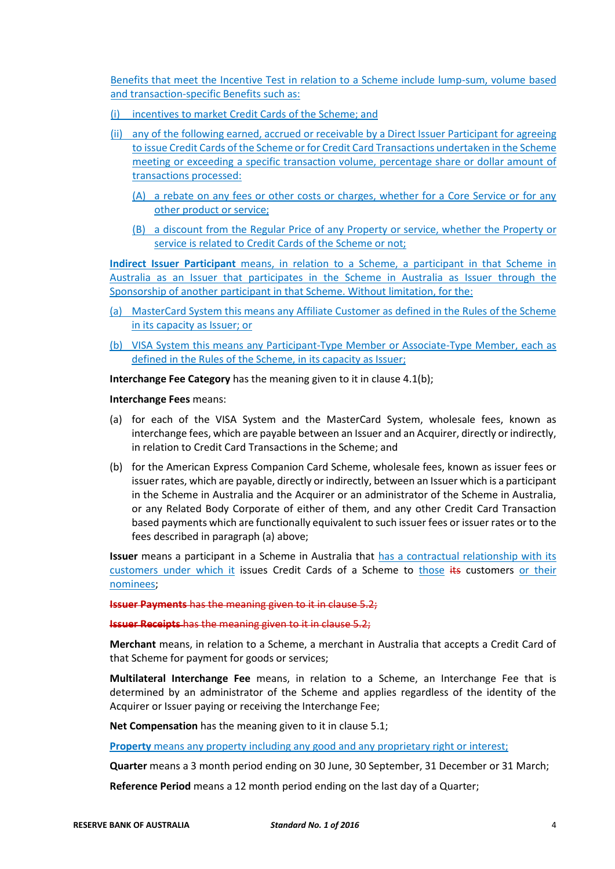Benefits that meet the Incentive Test in relation to a Scheme include lump-sum, volume based and transaction-specific Benefits such as:

- (i) incentives to market Credit Cards of the Scheme; and
- (ii) any of the following earned, accrued or receivable by a Direct Issuer Participant for agreeing to issue Credit Cards of the Scheme or for Credit Card Transactions undertaken in the Scheme meeting or exceeding a specific transaction volume, percentage share or dollar amount of transactions processed:
	- (A) a rebate on any fees or other costs or charges, whether for a Core Service or for any other product or service;
	- (B) a discount from the Regular Price of any Property or service, whether the Property or service is related to Credit Cards of the Scheme or not:

**Indirect Issuer Participant** means, in relation to a Scheme, a participant in that Scheme in Australia as an Issuer that participates in the Scheme in Australia as Issuer through the Sponsorship of another participant in that Scheme. Without limitation, for the:

- (a) MasterCard System this means any Affiliate Customer as defined in the Rules of the Scheme in its capacity as Issuer; or
- (b) VISA System this means any Participant-Type Member or Associate-Type Member, each as defined in the Rules of the Scheme, in its capacity as Issuer;

**Interchange Fee Category** has the meaning given to it in clause 4.1(b);

**Interchange Fees** means:

- (a) for each of the VISA System and the MasterCard System, wholesale fees, known as interchange fees, which are payable between an Issuer and an Acquirer, directly or indirectly, in relation to Credit Card Transactions in the Scheme; and
- (b) for the American Express Companion Card Scheme, wholesale fees, known as issuer fees or issuer rates, which are payable, directly or indirectly, between an Issuer which is a participant in the Scheme in Australia and the Acquirer or an administrator of the Scheme in Australia, or any Related Body Corporate of either of them, and any other Credit Card Transaction based payments which are functionally equivalent to such issuer fees or issuer rates or to the fees described in paragraph (a) above;

**Issuer** means a participant in a Scheme in Australia that has a contractual relationship with its customers under which it issues Credit Cards of a Scheme to those its customers or their nominees;

**Issuer Payments** has the meaning given to it in clause 5.2;

**Issuer Receipts** has the meaning given to it in clause 5.2;

**Merchant** means, in relation to a Scheme, a merchant in Australia that accepts a Credit Card of that Scheme for payment for goods or services;

**Multilateral Interchange Fee** means, in relation to a Scheme, an Interchange Fee that is determined by an administrator of the Scheme and applies regardless of the identity of the Acquirer or Issuer paying or receiving the Interchange Fee;

**Net Compensation** has the meaning given to it in clause 5.1;

**Property** means any property including any good and any proprietary right or interest;

**Quarter** means a 3 month period ending on 30 June, 30 September, 31 December or 31 March;

**Reference Period** means a 12 month period ending on the last day of a Quarter;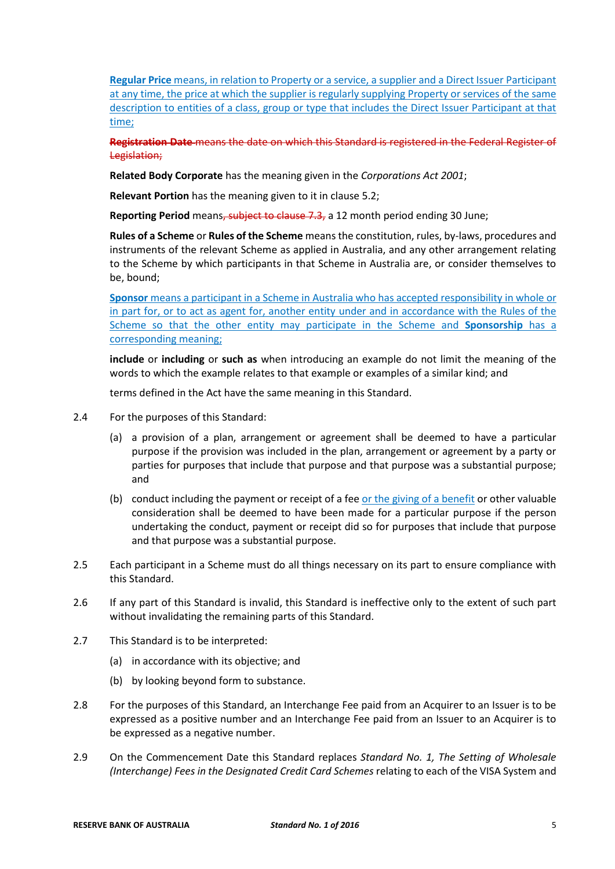**Regular Price** means, in relation to Property or a service, a supplier and a Direct Issuer Participant at any time, the price at which the supplier is regularly supplying Property or services of the same description to entities of a class, group or type that includes the Direct Issuer Participant at that time;

**Registration Date** means the date on which this Standard is registered in the Federal Register of Legislation;

**Related Body Corporate** has the meaning given in the *Corporations Act 2001*;

**Relevant Portion** has the meaning given to it in clause 5.2;

**Reporting Period** means, subject to clause 7.3, a 12 month period ending 30 June;

**Rules of a Scheme** or **Rules of the Scheme** means the constitution, rules, by-laws, procedures and instruments of the relevant Scheme as applied in Australia, and any other arrangement relating to the Scheme by which participants in that Scheme in Australia are, or consider themselves to be, bound;

**Sponsor** means a participant in a Scheme in Australia who has accepted responsibility in whole or in part for, or to act as agent for, another entity under and in accordance with the Rules of the Scheme so that the other entity may participate in the Scheme and **Sponsorship** has a corresponding meaning;

**include** or **including** or **such as** when introducing an example do not limit the meaning of the words to which the example relates to that example or examples of a similar kind; and

terms defined in the Act have the same meaning in this Standard.

- 2.4 For the purposes of this Standard:
	- (a) a provision of a plan, arrangement or agreement shall be deemed to have a particular purpose if the provision was included in the plan, arrangement or agreement by a party or parties for purposes that include that purpose and that purpose was a substantial purpose; and
	- (b) conduct including the payment or receipt of a fee or the giving of a benefit or other valuable consideration shall be deemed to have been made for a particular purpose if the person undertaking the conduct, payment or receipt did so for purposes that include that purpose and that purpose was a substantial purpose.
- 2.5 Each participant in a Scheme must do all things necessary on its part to ensure compliance with this Standard.
- 2.6 If any part of this Standard is invalid, this Standard is ineffective only to the extent of such part without invalidating the remaining parts of this Standard.
- 2.7 This Standard is to be interpreted:
	- (a) in accordance with its objective; and
	- (b) by looking beyond form to substance.
- 2.8 For the purposes of this Standard, an Interchange Fee paid from an Acquirer to an Issuer is to be expressed as a positive number and an Interchange Fee paid from an Issuer to an Acquirer is to be expressed as a negative number.
- 2.9 On the Commencement Date this Standard replaces *Standard No. 1, The Setting of Wholesale (Interchange) Fees in the Designated Credit Card Schemes* relating to each of the VISA System and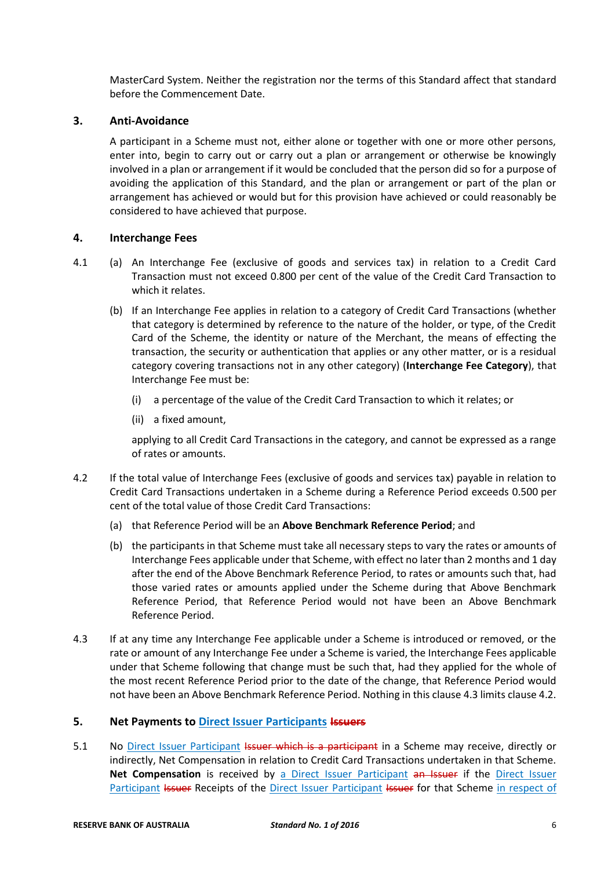MasterCard System. Neither the registration nor the terms of this Standard affect that standard before the Commencement Date.

## **3. Anti-Avoidance**

A participant in a Scheme must not, either alone or together with one or more other persons, enter into, begin to carry out or carry out a plan or arrangement or otherwise be knowingly involved in a plan or arrangement if it would be concluded that the person did so for a purpose of avoiding the application of this Standard, and the plan or arrangement or part of the plan or arrangement has achieved or would but for this provision have achieved or could reasonably be considered to have achieved that purpose.

# **4. Interchange Fees**

- 4.1 (a) An Interchange Fee (exclusive of goods and services tax) in relation to a Credit Card Transaction must not exceed 0.800 per cent of the value of the Credit Card Transaction to which it relates.
	- (b) If an Interchange Fee applies in relation to a category of Credit Card Transactions (whether that category is determined by reference to the nature of the holder, or type, of the Credit Card of the Scheme, the identity or nature of the Merchant, the means of effecting the transaction, the security or authentication that applies or any other matter, or is a residual category covering transactions not in any other category) (**Interchange Fee Category**), that Interchange Fee must be:
		- (i) a percentage of the value of the Credit Card Transaction to which it relates; or
		- (ii) a fixed amount,

applying to all Credit Card Transactions in the category, and cannot be expressed as a range of rates or amounts.

- 4.2 If the total value of Interchange Fees (exclusive of goods and services tax) payable in relation to Credit Card Transactions undertaken in a Scheme during a Reference Period exceeds 0.500 per cent of the total value of those Credit Card Transactions:
	- (a) that Reference Period will be an **Above Benchmark Reference Period**; and
	- (b) the participants in that Scheme must take all necessary steps to vary the rates or amounts of Interchange Fees applicable under that Scheme, with effect no later than 2 months and 1 day after the end of the Above Benchmark Reference Period, to rates or amounts such that, had those varied rates or amounts applied under the Scheme during that Above Benchmark Reference Period, that Reference Period would not have been an Above Benchmark Reference Period.
- 4.3 If at any time any Interchange Fee applicable under a Scheme is introduced or removed, or the rate or amount of any Interchange Fee under a Scheme is varied, the Interchange Fees applicable under that Scheme following that change must be such that, had they applied for the whole of the most recent Reference Period prior to the date of the change, that Reference Period would not have been an Above Benchmark Reference Period. Nothing in this clause 4.3 limits clause 4.2.

### **5. Net Payments to Direct Issuer Participants Issuers**

5.1 No Direct Issuer Participant Issuer which is a participant in a Scheme may receive, directly or indirectly, Net Compensation in relation to Credit Card Transactions undertaken in that Scheme. **Net Compensation** is received by a Direct Issuer Participant an Issuer if the Direct Issuer Participant Issuer Receipts of the Direct Issuer Participant Issuer for that Scheme in respect of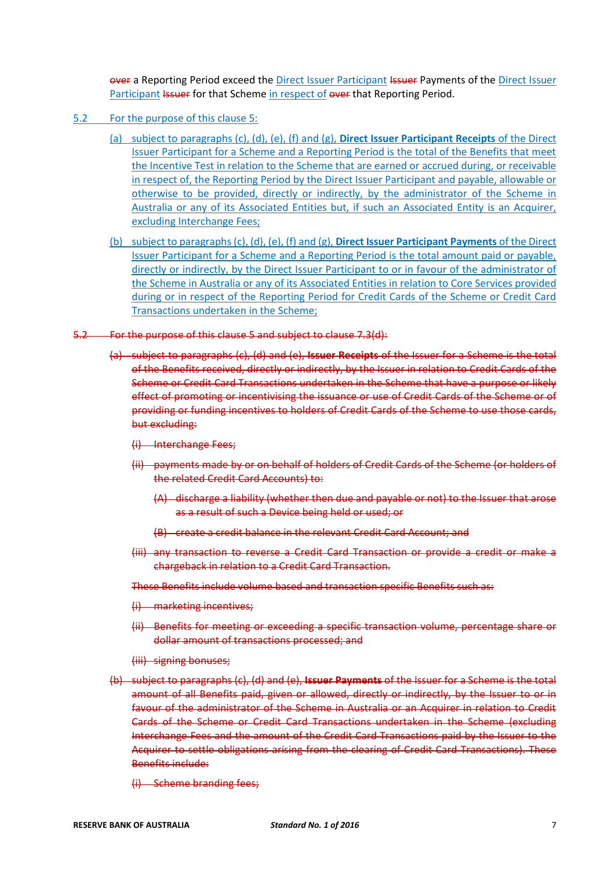over a Reporting Period exceed the Direct Issuer Participant Issuer Payments of the Direct Issuer Participant Issuer for that Scheme in respect of over that Reporting Period.

- 5.2 For the purpose of this clause 5:
	- (a) subject to paragraphs (c), (d), (e), (f) and (g), **Direct Issuer Participant Receipts** of the Direct Issuer Participant for a Scheme and a Reporting Period is the total of the Benefits that meet the Incentive Test in relation to the Scheme that are earned or accrued during, or receivable in respect of, the Reporting Period by the Direct Issuer Participant and payable, allowable or otherwise to be provided, directly or indirectly, by the administrator of the Scheme in Australia or any of its Associated Entities but, if such an Associated Entity is an Acquirer, excluding Interchange Fees;
	- (b) subject to paragraphs (c), (d), (e), (f) and (g), **Direct Issuer Participant Payments** of the Direct Issuer Participant for a Scheme and a Reporting Period is the total amount paid or payable, directly or indirectly, by the Direct Issuer Participant to or in favour of the administrator of the Scheme in Australia or any of its Associated Entities in relation to Core Services provided during or in respect of the Reporting Period for Credit Cards of the Scheme or Credit Card Transactions undertaken in the Scheme;
- 5.2 For the purpose of this clause 5 and subject to clause 7.3(d):
	- (a) subject to paragraphs (c), (d) and (e), **Issuer Receipts** of the Issuer for a Scheme is the total of the Benefits received, directly or indirectly, by the Issuer in relation to Credit Cards of the Scheme or Credit Card Transactions undertaken in the Scheme that have a purpose or likely effect of promoting or incentivising the issuance or use of Credit Cards of the Scheme or of providing or funding incentives to holders of Credit Cards of the Scheme to use those cards, but excluding:
		- (i) Interchange Fees;
		- (ii) payments made by or on behalf of holders of Credit Cards of the Scheme (or holders of the related Credit Card Accounts) to:
			- (A) discharge a liability (whether then due and payable or not) to the Issuer that arose as a result of such a Device being held or used; or
			- (B) create a credit balance in the relevant Credit Card Account; and
		- (iii) any transaction to reverse a Credit Card Transaction or provide a credit or make a chargeback in relation to a Credit Card Transaction.

These Benefits include volume based and transaction specific Benefits such as:

- (i) marketing incentives;
- (ii) Benefits for meeting or exceeding a specific transaction volume, percentage share or dollar amount of transactions processed; and
- (iii) signing bonuses;
- (b) subject to paragraphs (c), (d) and (e), **Issuer Payments** of the Issuer for a Scheme is the total amount of all Benefits paid, given or allowed, directly or indirectly, by the Issuer to or in favour of the administrator of the Scheme in Australia or an Acquirer in relation to Credit Cards of the Scheme or Credit Card Transactions undertaken in the Scheme (excluding Interchange Fees and the amount of the Credit Card Transactions paid by the Issuer to the Acquirer to settle obligations arising from the clearing of Credit Card Transactions). These Benefits include:
	- (i) Scheme branding fees;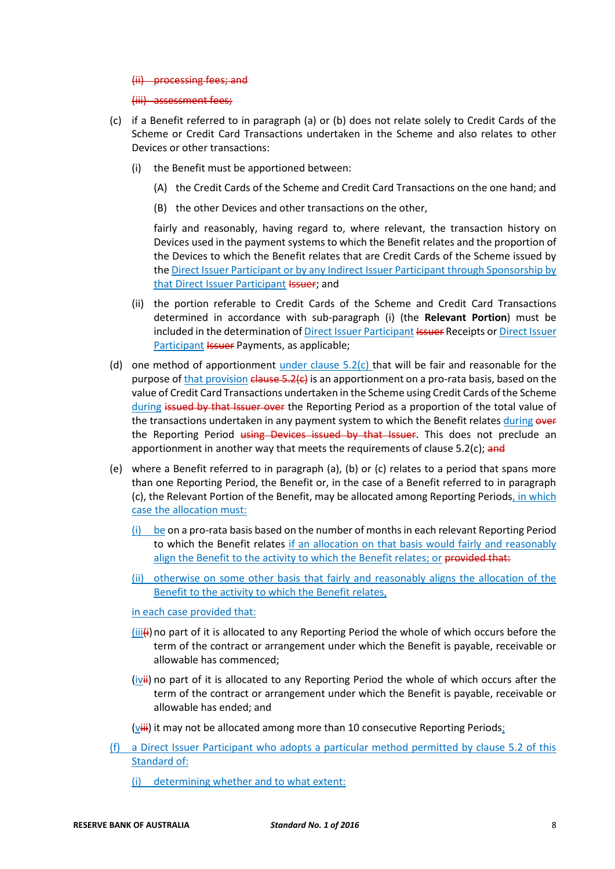#### (ii) processing fees; and

(iii) assessment fees;

- (c) if a Benefit referred to in paragraph (a) or (b) does not relate solely to Credit Cards of the Scheme or Credit Card Transactions undertaken in the Scheme and also relates to other Devices or other transactions:
	- (i) the Benefit must be apportioned between:
		- (A) the Credit Cards of the Scheme and Credit Card Transactions on the one hand; and
		- (B) the other Devices and other transactions on the other,

fairly and reasonably, having regard to, where relevant, the transaction history on Devices used in the payment systems to which the Benefit relates and the proportion of the Devices to which the Benefit relates that are Credit Cards of the Scheme issued by the Direct Issuer Participant or by any Indirect Issuer Participant through Sponsorship by that Direct Issuer Participant Issuer; and

- (ii) the portion referable to Credit Cards of the Scheme and Credit Card Transactions determined in accordance with sub-paragraph (i) (the **Relevant Portion**) must be included in the determination of Direct Issuer Participant Issuer Receipts or Direct Issuer Participant *Issuer* Payments, as applicable;
- (d) one method of apportionment under clause  $5.2(c)$  that will be fair and reasonable for the purpose of that provision  $\epsilon$  and  $\epsilon$  5.2( $\epsilon$ ) is an apportionment on a pro-rata basis, based on the value of Credit Card Transactions undertaken in the Scheme using Credit Cards of the Scheme during issued by that Issuer over the Reporting Period as a proportion of the total value of the transactions undertaken in any payment system to which the Benefit relates during over the Reporting Period using Devices issued by that Issuer. This does not preclude an apportionment in another way that meets the requirements of clause  $5.2(c)$ ; and
- (e) where a Benefit referred to in paragraph (a), (b) or (c) relates to a period that spans more than one Reporting Period, the Benefit or, in the case of a Benefit referred to in paragraph (c), the Relevant Portion of the Benefit, may be allocated among Reporting Periods, in which case the allocation must:
	- (i) be on a pro-rata basis based on the number of months in each relevant Reporting Period to which the Benefit relates if an allocation on that basis would fairly and reasonably align the Benefit to the activity to which the Benefit relates; or provided that:
	- (ii) otherwise on some other basis that fairly and reasonably aligns the allocation of the Benefit to the activity to which the Benefit relates,

in each case provided that:

- $(iii)$ no part of it is allocated to any Reporting Period the whole of which occurs before the term of the contract or arrangement under which the Benefit is payable, receivable or allowable has commenced;
- $(iviii)$  no part of it is allocated to any Reporting Period the whole of which occurs after the term of the contract or arrangement under which the Benefit is payable, receivable or allowable has ended; and
- $(viii)$  it may not be allocated among more than 10 consecutive Reporting Periods;
- (f) a Direct Issuer Participant who adopts a particular method permitted by clause 5.2 of this Standard of:
	- (i) determining whether and to what extent: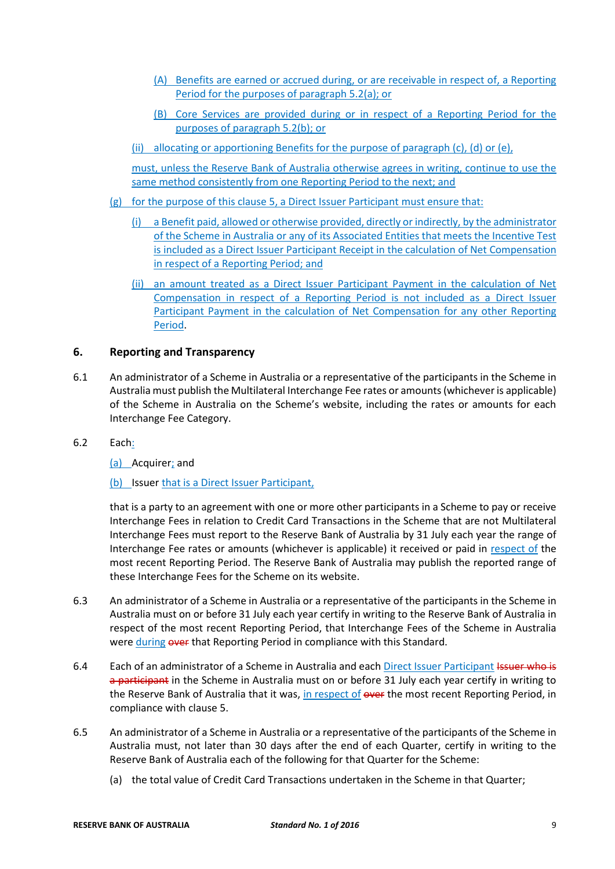- (A) Benefits are earned or accrued during, or are receivable in respect of, a Reporting Period for the purposes of paragraph 5.2(a); or
- (B) Core Services are provided during or in respect of a Reporting Period for the purposes of paragraph 5.2(b); or
- (ii) allocating or apportioning Benefits for the purpose of paragraph (c), (d) or (e),

must, unless the Reserve Bank of Australia otherwise agrees in writing, continue to use the same method consistently from one Reporting Period to the next; and

- (g) for the purpose of this clause 5, a Direct Issuer Participant must ensure that:
	- (i) a Benefit paid, allowed or otherwise provided, directly or indirectly, by the administrator of the Scheme in Australia or any of its Associated Entities that meets the Incentive Test is included as a Direct Issuer Participant Receipt in the calculation of Net Compensation in respect of a Reporting Period; and
	- (ii) an amount treated as a Direct Issuer Participant Payment in the calculation of Net Compensation in respect of a Reporting Period is not included as a Direct Issuer Participant Payment in the calculation of Net Compensation for any other Reporting Period.

# **6. Reporting and Transparency**

- 6.1 An administrator of a Scheme in Australia or a representative of the participants in the Scheme in Australia must publish the Multilateral Interchange Fee rates or amounts (whichever is applicable) of the Scheme in Australia on the Scheme's website, including the rates or amounts for each Interchange Fee Category.
- 6.2 Each:

(a) Acquirer; and

(b) Issuer that is a Direct Issuer Participant,

that is a party to an agreement with one or more other participants in a Scheme to pay or receive Interchange Fees in relation to Credit Card Transactions in the Scheme that are not Multilateral Interchange Fees must report to the Reserve Bank of Australia by 31 July each year the range of Interchange Fee rates or amounts (whichever is applicable) it received or paid in respect of the most recent Reporting Period. The Reserve Bank of Australia may publish the reported range of these Interchange Fees for the Scheme on its website.

- 6.3 An administrator of a Scheme in Australia or a representative of the participants in the Scheme in Australia must on or before 31 July each year certify in writing to the Reserve Bank of Australia in respect of the most recent Reporting Period, that Interchange Fees of the Scheme in Australia were during over that Reporting Period in compliance with this Standard.
- 6.4 Each of an administrator of a Scheme in Australia and each Direct Issuer Participant Issuer who is a participant in the Scheme in Australia must on or before 31 July each year certify in writing to the Reserve Bank of Australia that it was, in respect of over the most recent Reporting Period, in compliance with clause 5.
- 6.5 An administrator of a Scheme in Australia or a representative of the participants of the Scheme in Australia must, not later than 30 days after the end of each Quarter, certify in writing to the Reserve Bank of Australia each of the following for that Quarter for the Scheme:
	- (a) the total value of Credit Card Transactions undertaken in the Scheme in that Quarter;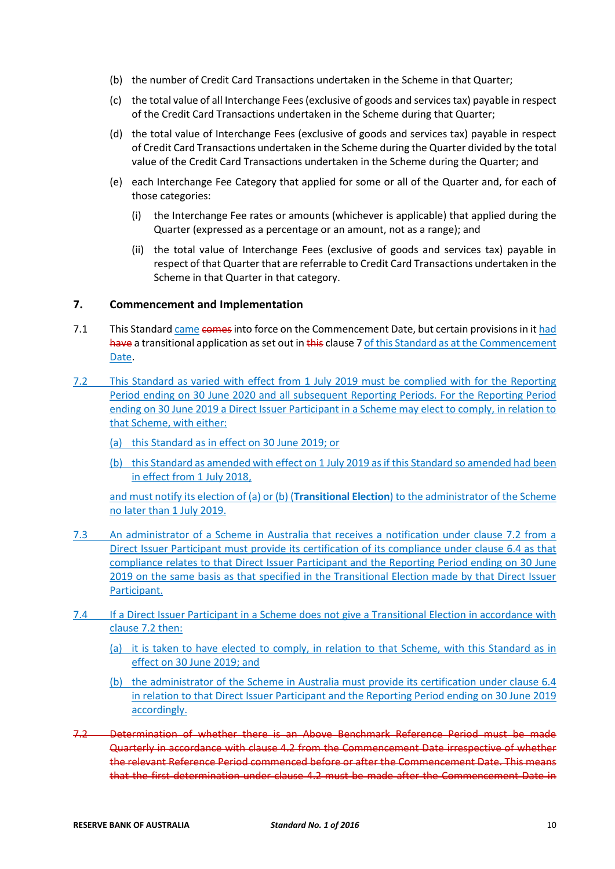- (b) the number of Credit Card Transactions undertaken in the Scheme in that Quarter;
- (c) the total value of all Interchange Fees (exclusive of goods and services tax) payable in respect of the Credit Card Transactions undertaken in the Scheme during that Quarter;
- (d) the total value of Interchange Fees (exclusive of goods and services tax) payable in respect of Credit Card Transactions undertaken in the Scheme during the Quarter divided by the total value of the Credit Card Transactions undertaken in the Scheme during the Quarter; and
- (e) each Interchange Fee Category that applied for some or all of the Quarter and, for each of those categories:
	- (i) the Interchange Fee rates or amounts (whichever is applicable) that applied during the Quarter (expressed as a percentage or an amount, not as a range); and
	- (ii) the total value of Interchange Fees (exclusive of goods and services tax) payable in respect of that Quarter that are referrable to Credit Card Transactions undertaken in the Scheme in that Quarter in that category.

### **7. Commencement and Implementation**

- 7.1 This Standard came comes into force on the Commencement Date, but certain provisions in it had have a transitional application as set out in this clause 7 of this Standard as at the Commencement Date.
- 7.2 This Standard as varied with effect from 1 July 2019 must be complied with for the Reporting Period ending on 30 June 2020 and all subsequent Reporting Periods. For the Reporting Period ending on 30 June 2019 a Direct Issuer Participant in a Scheme may elect to comply, in relation to that Scheme, with either:
	- (a) this Standard as in effect on 30 June 2019; or
	- (b) this Standard as amended with effect on 1 July 2019 as if this Standard so amended had been in effect from 1 July 2018,

and must notify its election of (a) or (b) (**Transitional Election**) to the administrator of the Scheme no later than 1 July 2019.

- 7.3 An administrator of a Scheme in Australia that receives a notification under clause 7.2 from a Direct Issuer Participant must provide its certification of its compliance under clause 6.4 as that compliance relates to that Direct Issuer Participant and the Reporting Period ending on 30 June 2019 on the same basis as that specified in the Transitional Election made by that Direct Issuer Participant.
- 7.4 If a Direct Issuer Participant in a Scheme does not give a Transitional Election in accordance with clause 7.2 then:
	- (a) it is taken to have elected to comply, in relation to that Scheme, with this Standard as in effect on 30 June 2019; and
	- (b) the administrator of the Scheme in Australia must provide its certification under clause 6.4 in relation to that Direct Issuer Participant and the Reporting Period ending on 30 June 2019 accordingly.
- 7.2 Determination of whether there is an Above Benchmark Reference Period must be made Quarterly in accordance with clause 4.2 from the Commencement Date irrespective of whether the relevant Reference Period commenced before or after the Commencement Date. This means that the first determination under clause 4.2 must be made after the Commencement Date in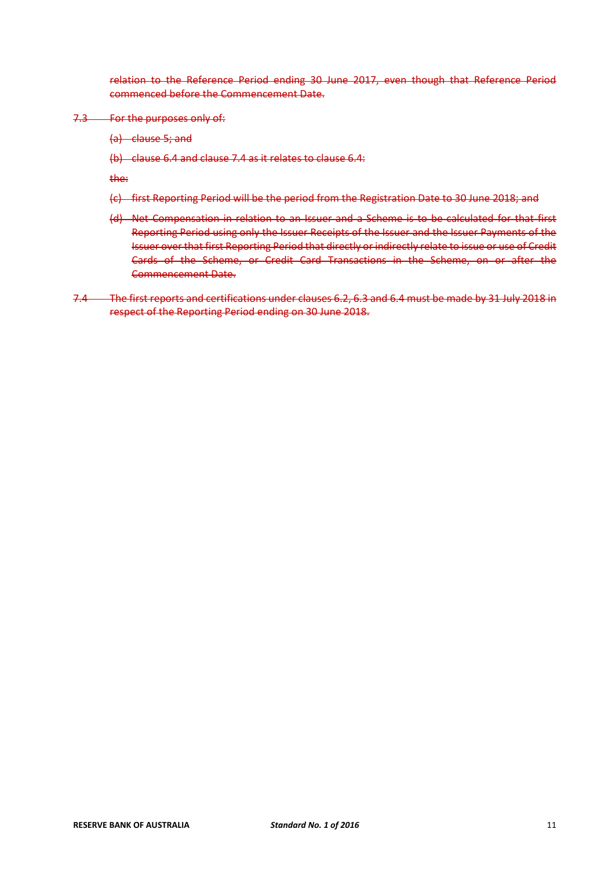relation to the Reference Period ending 30 June 2017, even though that Reference Period commenced before the Commencement Date.

- 7.3 For the purposes only of:
	- (a) clause 5; and
	- (b) clause 6.4 and clause 7.4 as it relates to clause 6.4:

the:

- (c) first Reporting Period will be the period from the Registration Date to 30 June 2018; and
- (d) Net Compensation in relation to an Issuer and a Scheme is to be calculated for that first Reporting Period using only the Issuer Receipts of the Issuer and the Issuer Payments of the Issuer over that first Reporting Period that directly or indirectly relate to issue or use of Credit Cards of the Scheme, or Credit Card Transactions in the Scheme, on or after the Commencement Date.
- 7.4 The first reports and certifications under clauses 6.2, 6.3 and 6.4 must be made by 31 July 2018 in respect of the Reporting Period ending on 30 June 2018.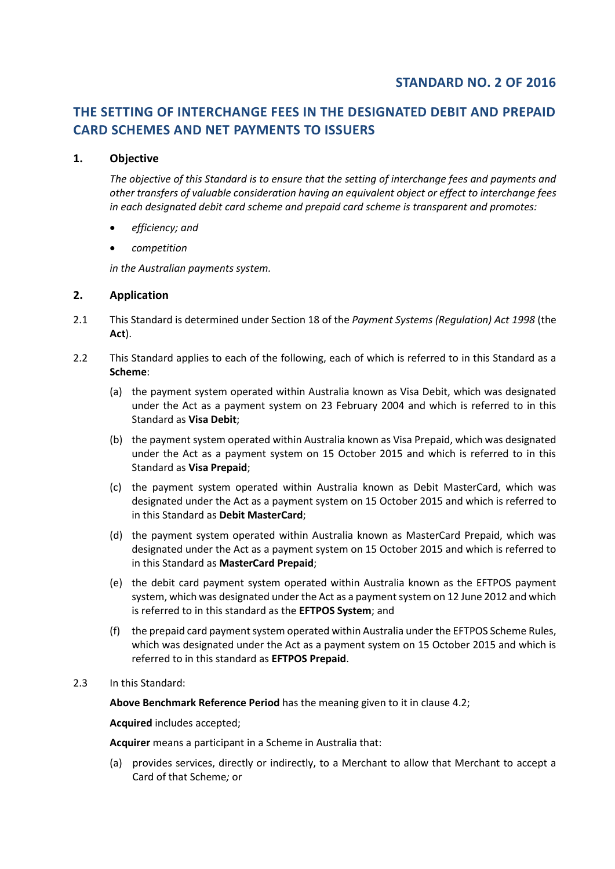# **STANDARD NO. 2 OF 2016**

# **THE SETTING OF INTERCHANGE FEES IN THE DESIGNATED DEBIT AND PREPAID CARD SCHEMES AND NET PAYMENTS TO ISSUERS**

# **1. Objective**

*The objective of this Standard is to ensure that the setting of interchange fees and payments and other transfers of valuable consideration having an equivalent object or effect to interchange fees in each designated debit card scheme and prepaid card scheme is transparent and promotes:*

- *efficiency; and*
- *competition*

*in the Australian payments system.* 

# **2. Application**

- 2.1 This Standard is determined under Section 18 of the *Payment Systems (Regulation) Act 1998* (the **Act**).
- 2.2 This Standard applies to each of the following, each of which is referred to in this Standard as a **Scheme**:
	- (a) the payment system operated within Australia known as Visa Debit, which was designated under the Act as a payment system on 23 February 2004 and which is referred to in this Standard as **Visa Debit**;
	- (b) the payment system operated within Australia known as Visa Prepaid, which was designated under the Act as a payment system on 15 October 2015 and which is referred to in this Standard as **Visa Prepaid**;
	- (c) the payment system operated within Australia known as Debit MasterCard, which was designated under the Act as a payment system on 15 October 2015 and which is referred to in this Standard as **Debit MasterCard**;
	- (d) the payment system operated within Australia known as MasterCard Prepaid, which was designated under the Act as a payment system on 15 October 2015 and which is referred to in this Standard as **MasterCard Prepaid**;
	- (e) the debit card payment system operated within Australia known as the EFTPOS payment system, which was designated under the Act as a payment system on 12 June 2012 and which is referred to in this standard as the **EFTPOS System**; and
	- (f) the prepaid card payment system operated within Australia under the EFTPOS Scheme Rules, which was designated under the Act as a payment system on 15 October 2015 and which is referred to in this standard as **EFTPOS Prepaid**.

# 2.3 In this Standard:

**Above Benchmark Reference Period** has the meaning given to it in clause 4.2;

**Acquired** includes accepted;

**Acquirer** means a participant in a Scheme in Australia that:

(a) provides services, directly or indirectly, to a Merchant to allow that Merchant to accept a Card of that Scheme*;* or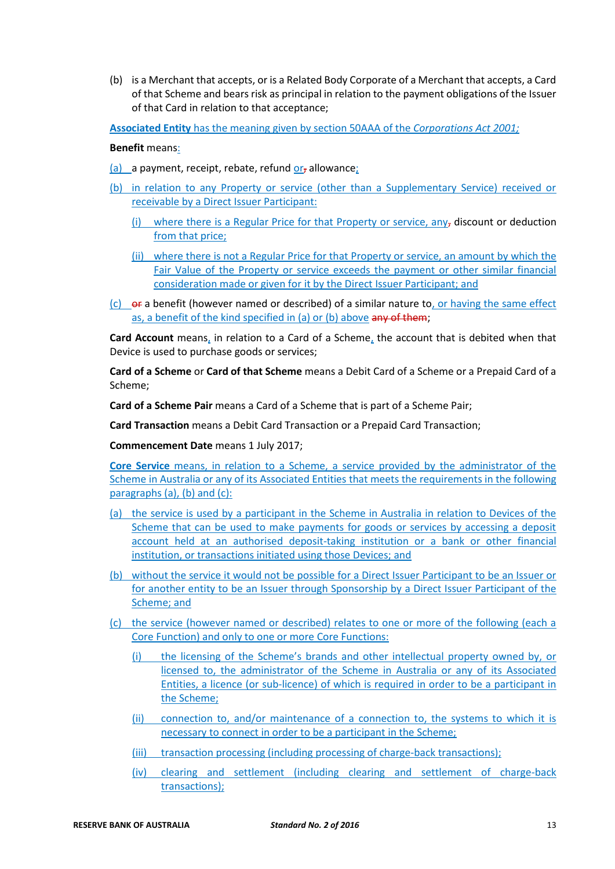(b) is a Merchant that accepts, or is a Related Body Corporate of a Merchant that accepts, a Card of that Scheme and bears risk as principal in relation to the payment obligations of the Issuer of that Card in relation to that acceptance;

**Associated Entity** has the meaning given by section 50AAA of the *Corporations Act 2001;*

#### **Benefit** means:

- (a) a payment, receipt, rebate, refund  $or$ , allowance;
- (b) in relation to any Property or service (other than a Supplementary Service) received or receivable by a Direct Issuer Participant:
	- (i) where there is a Regular Price for that Property or service, any<sub>r</sub> discount or deduction from that price;
	- (ii) where there is not a Regular Price for that Property or service, an amount by which the Fair Value of the Property or service exceeds the payment or other similar financial consideration made or given for it by the Direct Issuer Participant; and
- $(c)$  or a benefit (however named or described) of a similar nature to, or having the same effect as, a benefit of the kind specified in (a) or (b) above any of them;

**Card Account** means, in relation to a Card of a Scheme, the account that is debited when that Device is used to purchase goods or services;

**Card of a Scheme** or **Card of that Scheme** means a Debit Card of a Scheme or a Prepaid Card of a Scheme;

**Card of a Scheme Pair** means a Card of a Scheme that is part of a Scheme Pair;

**Card Transaction** means a Debit Card Transaction or a Prepaid Card Transaction;

**Commencement Date** means 1 July 2017;

**Core Service** means, in relation to a Scheme, a service provided by the administrator of the Scheme in Australia or any of its Associated Entities that meets the requirements in the following paragraphs (a), (b) and (c):

- (a) the service is used by a participant in the Scheme in Australia in relation to Devices of the Scheme that can be used to make payments for goods or services by accessing a deposit account held at an authorised deposit-taking institution or a bank or other financial institution, or transactions initiated using those Devices; and
- (b) without the service it would not be possible for a Direct Issuer Participant to be an Issuer or for another entity to be an Issuer through Sponsorship by a Direct Issuer Participant of the Scheme; and
- (c) the service (however named or described) relates to one or more of the following (each a Core Function) and only to one or more Core Functions:
	- (i) the licensing of the Scheme's brands and other intellectual property owned by, or licensed to, the administrator of the Scheme in Australia or any of its Associated Entities, a licence (or sub-licence) of which is required in order to be a participant in the Scheme;
	- (ii) connection to, and/or maintenance of a connection to, the systems to which it is necessary to connect in order to be a participant in the Scheme;
	- (iii) transaction processing (including processing of charge-back transactions);
	- (iv) clearing and settlement (including clearing and settlement of charge-back transactions);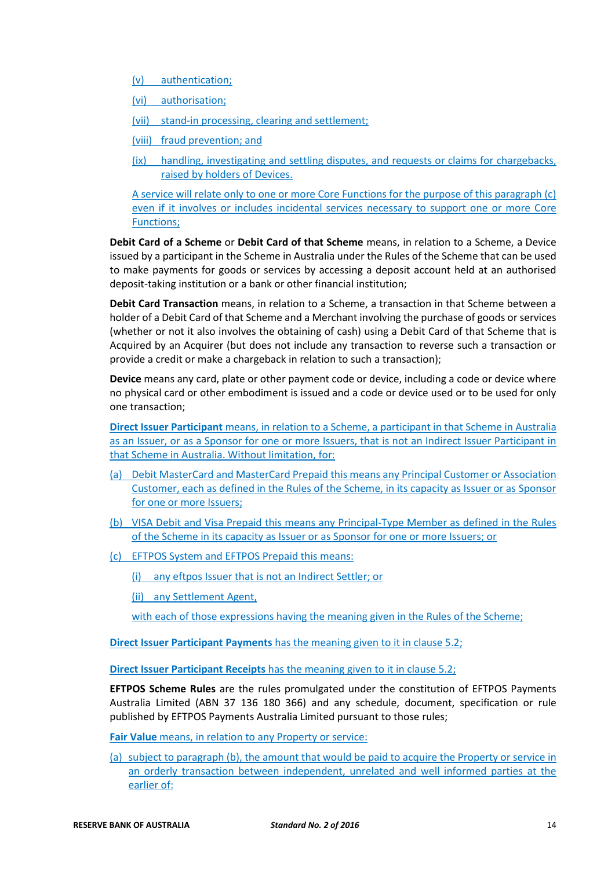- (v) authentication;
- (vi) authorisation;
- (vii) stand-in processing, clearing and settlement;
- (viii) fraud prevention; and
- (ix) handling, investigating and settling disputes, and requests or claims for chargebacks, raised by holders of Devices.

A service will relate only to one or more Core Functions for the purpose of this paragraph (c) even if it involves or includes incidental services necessary to support one or more Core Functions;

**Debit Card of a Scheme** or **Debit Card of that Scheme** means, in relation to a Scheme, a Device issued by a participant in the Scheme in Australia under the Rules of the Scheme that can be used to make payments for goods or services by accessing a deposit account held at an authorised deposit-taking institution or a bank or other financial institution;

**Debit Card Transaction** means, in relation to a Scheme, a transaction in that Scheme between a holder of a Debit Card of that Scheme and a Merchant involving the purchase of goods or services (whether or not it also involves the obtaining of cash) using a Debit Card of that Scheme that is Acquired by an Acquirer (but does not include any transaction to reverse such a transaction or provide a credit or make a chargeback in relation to such a transaction);

**Device** means any card, plate or other payment code or device, including a code or device where no physical card or other embodiment is issued and a code or device used or to be used for only one transaction;

**Direct Issuer Participant** means, in relation to a Scheme, a participant in that Scheme in Australia as an Issuer, or as a Sponsor for one or more Issuers, that is not an Indirect Issuer Participant in that Scheme in Australia. Without limitation, for:

- (a) Debit MasterCard and MasterCard Prepaid this means any Principal Customer or Association Customer, each as defined in the Rules of the Scheme, in its capacity as Issuer or as Sponsor for one or more Issuers;
- (b) VISA Debit and Visa Prepaid this means any Principal-Type Member as defined in the Rules of the Scheme in its capacity as Issuer or as Sponsor for one or more Issuers; or
- (c) EFTPOS System and EFTPOS Prepaid this means:

(i) any eftpos Issuer that is not an Indirect Settler; or

(ii) any Settlement Agent,

with each of those expressions having the meaning given in the Rules of the Scheme;

**Direct Issuer Participant Payments** has the meaning given to it in clause 5.2;

**Direct Issuer Participant Receipts** has the meaning given to it in clause 5.2;

**EFTPOS Scheme Rules** are the rules promulgated under the constitution of EFTPOS Payments Australia Limited (ABN 37 136 180 366) and any schedule, document, specification or rule published by EFTPOS Payments Australia Limited pursuant to those rules;

**Fair Value** means, in relation to any Property or service:

(a) subject to paragraph (b), the amount that would be paid to acquire the Property or service in an orderly transaction between independent, unrelated and well informed parties at the earlier of: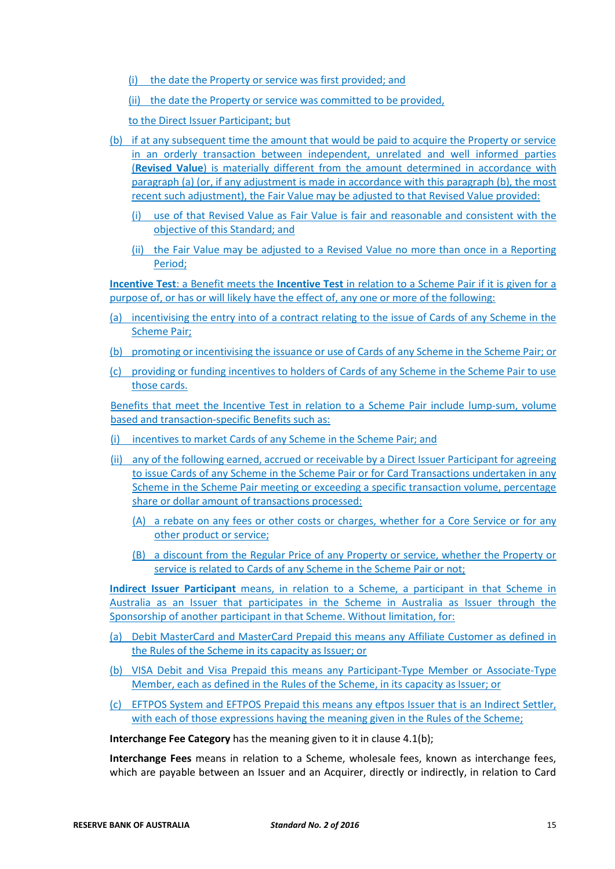(i) the date the Property or service was first provided; and

(ii) the date the Property or service was committed to be provided,

to the Direct Issuer Participant; but

- (b) if at any subsequent time the amount that would be paid to acquire the Property or service in an orderly transaction between independent, unrelated and well informed parties (**Revised Value**) is materially different from the amount determined in accordance with paragraph (a) (or, if any adjustment is made in accordance with this paragraph (b), the most recent such adjustment), the Fair Value may be adjusted to that Revised Value provided:
	- (i) use of that Revised Value as Fair Value is fair and reasonable and consistent with the objective of this Standard; and
	- (ii) the Fair Value may be adjusted to a Revised Value no more than once in a Reporting Period;

**Incentive Test**: a Benefit meets the **Incentive Test** in relation to a Scheme Pair if it is given for a purpose of, or has or will likely have the effect of, any one or more of the following:

- (a) incentivising the entry into of a contract relating to the issue of Cards of any Scheme in the Scheme Pair;
- (b) promoting or incentivising the issuance or use of Cards of any Scheme in the Scheme Pair; or
- (c) providing or funding incentives to holders of Cards of any Scheme in the Scheme Pair to use those cards.

Benefits that meet the Incentive Test in relation to a Scheme Pair include lump-sum, volume based and transaction-specific Benefits such as:

- (i) incentives to market Cards of any Scheme in the Scheme Pair; and
- (ii) any of the following earned, accrued or receivable by a Direct Issuer Participant for agreeing to issue Cards of any Scheme in the Scheme Pair or for Card Transactions undertaken in any Scheme in the Scheme Pair meeting or exceeding a specific transaction volume, percentage share or dollar amount of transactions processed:
	- (A) a rebate on any fees or other costs or charges, whether for a Core Service or for any other product or service;
	- (B) a discount from the Regular Price of any Property or service, whether the Property or service is related to Cards of any Scheme in the Scheme Pair or not;

**Indirect Issuer Participant** means, in relation to a Scheme, a participant in that Scheme in Australia as an Issuer that participates in the Scheme in Australia as Issuer through the Sponsorship of another participant in that Scheme. Without limitation, for:

- (a) Debit MasterCard and MasterCard Prepaid this means any Affiliate Customer as defined in the Rules of the Scheme in its capacity as Issuer; or
- (b) VISA Debit and Visa Prepaid this means any Participant-Type Member or Associate-Type Member, each as defined in the Rules of the Scheme, in its capacity as Issuer; or
- (c) EFTPOS System and EFTPOS Prepaid this means any eftpos Issuer that is an Indirect Settler, with each of those expressions having the meaning given in the Rules of the Scheme;

**Interchange Fee Category** has the meaning given to it in clause 4.1(b);

**Interchange Fees** means in relation to a Scheme, wholesale fees, known as interchange fees, which are payable between an Issuer and an Acquirer, directly or indirectly, in relation to Card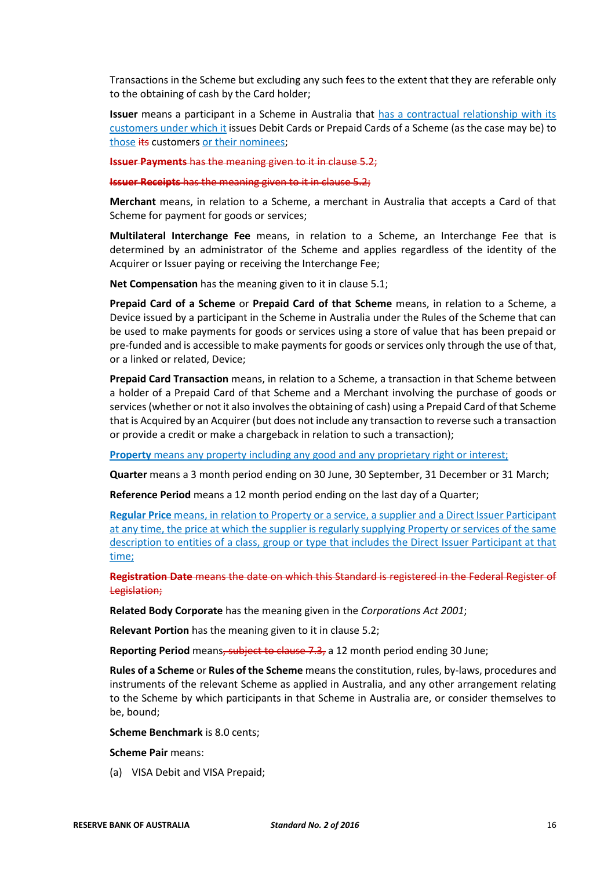Transactions in the Scheme but excluding any such fees to the extent that they are referable only to the obtaining of cash by the Card holder;

**Issuer** means a participant in a Scheme in Australia that has a contractual relationship with its customers under which it issues Debit Cards or Prepaid Cards of a Scheme (as the case may be) to those its customers or their nominees;

**Issuer Payments** has the meaning given to it in clause 5.2;

**Issuer Receipts** has the meaning given to it in clause 5.2;

**Merchant** means, in relation to a Scheme, a merchant in Australia that accepts a Card of that Scheme for payment for goods or services;

**Multilateral Interchange Fee** means, in relation to a Scheme, an Interchange Fee that is determined by an administrator of the Scheme and applies regardless of the identity of the Acquirer or Issuer paying or receiving the Interchange Fee;

**Net Compensation** has the meaning given to it in clause 5.1;

**Prepaid Card of a Scheme** or **Prepaid Card of that Scheme** means, in relation to a Scheme, a Device issued by a participant in the Scheme in Australia under the Rules of the Scheme that can be used to make payments for goods or services using a store of value that has been prepaid or pre-funded and is accessible to make payments for goods or services only through the use of that, or a linked or related, Device;

**Prepaid Card Transaction** means, in relation to a Scheme, a transaction in that Scheme between a holder of a Prepaid Card of that Scheme and a Merchant involving the purchase of goods or services (whether or not it also involves the obtaining of cash) using a Prepaid Card of that Scheme that is Acquired by an Acquirer (but does not include any transaction to reverse such a transaction or provide a credit or make a chargeback in relation to such a transaction);

**Property** means any property including any good and any proprietary right or interest;

**Quarter** means a 3 month period ending on 30 June, 30 September, 31 December or 31 March;

**Reference Period** means a 12 month period ending on the last day of a Quarter;

**Regular Price** means, in relation to Property or a service, a supplier and a Direct Issuer Participant at any time, the price at which the supplier is regularly supplying Property or services of the same description to entities of a class, group or type that includes the Direct Issuer Participant at that time;

**Registration Date** means the date on which this Standard is registered in the Federal Register of Legislation;

**Related Body Corporate** has the meaning given in the *Corporations Act 2001*;

**Relevant Portion** has the meaning given to it in clause 5.2;

**Reporting Period** means, subject to clause 7.3, a 12 month period ending 30 June;

**Rules of a Scheme** or **Rules of the Scheme** means the constitution, rules, by-laws, procedures and instruments of the relevant Scheme as applied in Australia, and any other arrangement relating to the Scheme by which participants in that Scheme in Australia are, or consider themselves to be, bound;

**Scheme Benchmark** is 8.0 cents;

**Scheme Pair** means:

(a) VISA Debit and VISA Prepaid;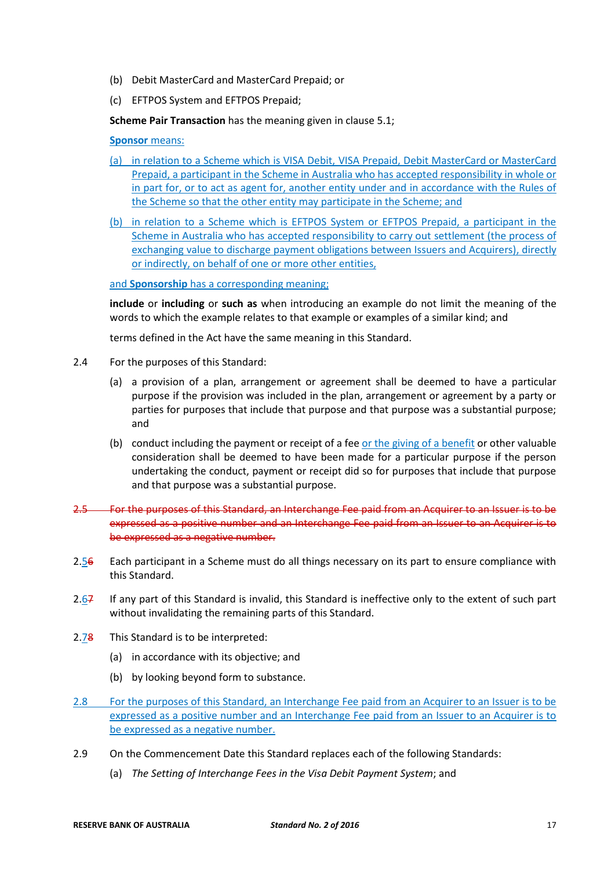- (b) Debit MasterCard and MasterCard Prepaid; or
- (c) EFTPOS System and EFTPOS Prepaid;

**Scheme Pair Transaction** has the meaning given in clause 5.1;

#### **Sponsor** means:

- (a) in relation to a Scheme which is VISA Debit, VISA Prepaid, Debit MasterCard or MasterCard Prepaid, a participant in the Scheme in Australia who has accepted responsibility in whole or in part for, or to act as agent for, another entity under and in accordance with the Rules of the Scheme so that the other entity may participate in the Scheme; and
- (b) in relation to a Scheme which is EFTPOS System or EFTPOS Prepaid, a participant in the Scheme in Australia who has accepted responsibility to carry out settlement (the process of exchanging value to discharge payment obligations between Issuers and Acquirers), directly or indirectly, on behalf of one or more other entities,

and **Sponsorship** has a corresponding meaning;

**include** or **including** or **such as** when introducing an example do not limit the meaning of the words to which the example relates to that example or examples of a similar kind; and

terms defined in the Act have the same meaning in this Standard.

- 2.4 For the purposes of this Standard:
	- (a) a provision of a plan, arrangement or agreement shall be deemed to have a particular purpose if the provision was included in the plan, arrangement or agreement by a party or parties for purposes that include that purpose and that purpose was a substantial purpose; and
	- (b) conduct including the payment or receipt of a fee or the giving of a benefit or other valuable consideration shall be deemed to have been made for a particular purpose if the person undertaking the conduct, payment or receipt did so for purposes that include that purpose and that purpose was a substantial purpose.
- 2.5 For the purposes of this Standard, an Interchange Fee paid from an Acquirer to an Issuer is to be expressed as a positive number and an Interchange Fee paid from an Issuer to an Acquirer is to be expressed as a negative number.
- 2.56 Each participant in a Scheme must do all things necessary on its part to ensure compliance with this Standard.
- 2.67 If any part of this Standard is invalid, this Standard is ineffective only to the extent of such part without invalidating the remaining parts of this Standard.
- 2.78 This Standard is to be interpreted:
	- (a) in accordance with its objective; and
	- (b) by looking beyond form to substance.
- 2.8 For the purposes of this Standard, an Interchange Fee paid from an Acquirer to an Issuer is to be expressed as a positive number and an Interchange Fee paid from an Issuer to an Acquirer is to be expressed as a negative number.
- 2.9 On the Commencement Date this Standard replaces each of the following Standards:
	- (a) *The Setting of Interchange Fees in the Visa Debit Payment System*; and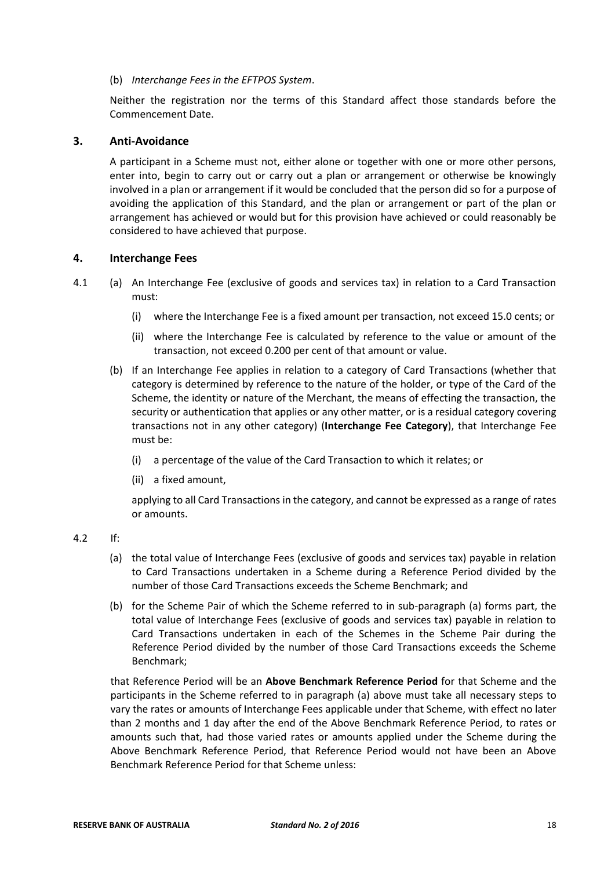#### (b) *Interchange Fees in the EFTPOS System*.

Neither the registration nor the terms of this Standard affect those standards before the Commencement Date.

### **3. Anti-Avoidance**

A participant in a Scheme must not, either alone or together with one or more other persons, enter into, begin to carry out or carry out a plan or arrangement or otherwise be knowingly involved in a plan or arrangement if it would be concluded that the person did so for a purpose of avoiding the application of this Standard, and the plan or arrangement or part of the plan or arrangement has achieved or would but for this provision have achieved or could reasonably be considered to have achieved that purpose.

#### **4. Interchange Fees**

- 4.1 (a) An Interchange Fee (exclusive of goods and services tax) in relation to a Card Transaction must:
	- (i) where the Interchange Fee is a fixed amount per transaction, not exceed 15.0 cents; or
	- (ii) where the Interchange Fee is calculated by reference to the value or amount of the transaction, not exceed 0.200 per cent of that amount or value.
	- (b) If an Interchange Fee applies in relation to a category of Card Transactions (whether that category is determined by reference to the nature of the holder, or type of the Card of the Scheme, the identity or nature of the Merchant, the means of effecting the transaction, the security or authentication that applies or any other matter, or is a residual category covering transactions not in any other category) (**Interchange Fee Category**), that Interchange Fee must be:
		- (i) a percentage of the value of the Card Transaction to which it relates; or
		- (ii) a fixed amount,

applying to all Card Transactions in the category, and cannot be expressed as a range of rates or amounts.

### 4.2 If:

- (a) the total value of Interchange Fees (exclusive of goods and services tax) payable in relation to Card Transactions undertaken in a Scheme during a Reference Period divided by the number of those Card Transactions exceeds the Scheme Benchmark; and
- (b) for the Scheme Pair of which the Scheme referred to in sub-paragraph (a) forms part, the total value of Interchange Fees (exclusive of goods and services tax) payable in relation to Card Transactions undertaken in each of the Schemes in the Scheme Pair during the Reference Period divided by the number of those Card Transactions exceeds the Scheme Benchmark;

that Reference Period will be an **Above Benchmark Reference Period** for that Scheme and the participants in the Scheme referred to in paragraph (a) above must take all necessary steps to vary the rates or amounts of Interchange Fees applicable under that Scheme, with effect no later than 2 months and 1 day after the end of the Above Benchmark Reference Period, to rates or amounts such that, had those varied rates or amounts applied under the Scheme during the Above Benchmark Reference Period, that Reference Period would not have been an Above Benchmark Reference Period for that Scheme unless: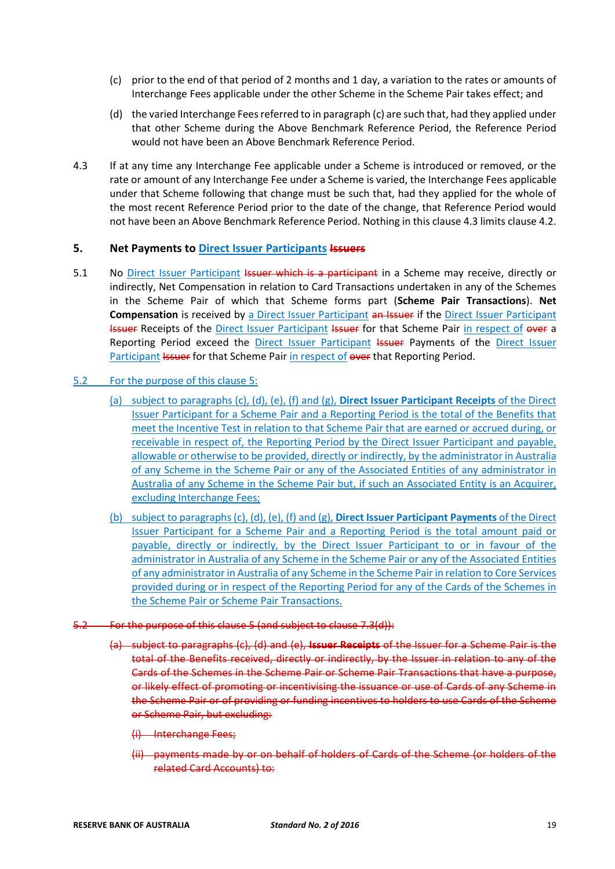- (c) prior to the end of that period of 2 months and 1 day, a variation to the rates or amounts of Interchange Fees applicable under the other Scheme in the Scheme Pair takes effect; and
- (d) the varied Interchange Fees referred to in paragraph (c) are such that, had they applied under that other Scheme during the Above Benchmark Reference Period, the Reference Period would not have been an Above Benchmark Reference Period.
- 4.3 If at any time any Interchange Fee applicable under a Scheme is introduced or removed, or the rate or amount of any Interchange Fee under a Scheme is varied, the Interchange Fees applicable under that Scheme following that change must be such that, had they applied for the whole of the most recent Reference Period prior to the date of the change, that Reference Period would not have been an Above Benchmark Reference Period. Nothing in this clause 4.3 limits clause 4.2.

# **5. Net Payments to Direct Issuer Participants Issuers**

5.1 No Direct Issuer Participant Issuer which is a participant in a Scheme may receive, directly or indirectly, Net Compensation in relation to Card Transactions undertaken in any of the Schemes in the Scheme Pair of which that Scheme forms part (**Scheme Pair Transactions**). **Net Compensation** is received by a Direct Issuer Participant an Issuer if the Direct Issuer Participant **Issuer Receipts of the Direct Issuer Participant Issuer for that Scheme Pair in respect of over a** Reporting Period exceed the Direct Issuer Participant Issuer Payments of the Direct Issuer Participant Issuer for that Scheme Pair in respect of over that Reporting Period.

## 5.2 For the purpose of this clause 5:

- (a) subject to paragraphs (c), (d), (e), (f) and (g), **Direct Issuer Participant Receipts** of the Direct Issuer Participant for a Scheme Pair and a Reporting Period is the total of the Benefits that meet the Incentive Test in relation to that Scheme Pair that are earned or accrued during, or receivable in respect of, the Reporting Period by the Direct Issuer Participant and payable, allowable or otherwise to be provided, directly or indirectly, by the administrator in Australia of any Scheme in the Scheme Pair or any of the Associated Entities of any administrator in Australia of any Scheme in the Scheme Pair but, if such an Associated Entity is an Acquirer, excluding Interchange Fees;
- (b) subject to paragraphs (c), (d), (e), (f) and (g), **Direct Issuer Participant Payments** of the Direct Issuer Participant for a Scheme Pair and a Reporting Period is the total amount paid or payable, directly or indirectly, by the Direct Issuer Participant to or in favour of the administrator in Australia of any Scheme in the Scheme Pair or any of the Associated Entities of any administrator in Australia of any Scheme in the Scheme Pair in relation to Core Services provided during or in respect of the Reporting Period for any of the Cards of the Schemes in the Scheme Pair or Scheme Pair Transactions.
- 5.2 For the purpose of this clause 5 (and subject to clause 7.3(d)):
	- (a) subject to paragraphs (c), (d) and (e), **Issuer Receipts** of the Issuer for a Scheme Pair is the total of the Benefits received, directly or indirectly, by the Issuer in relation to any of the Cards of the Schemes in the Scheme Pair or Scheme Pair Transactions that have a purpose, or likely effect of promoting or incentivising the issuance or use of Cards of any Scheme in the Scheme Pair or of providing or funding incentives to holders to use Cards of the Scheme or Scheme Pair, but excluding:
		- (i) Interchange Fees;
		- (ii) payments made by or on behalf of holders of Cards of the Scheme (or holders of the related Card Accounts) to: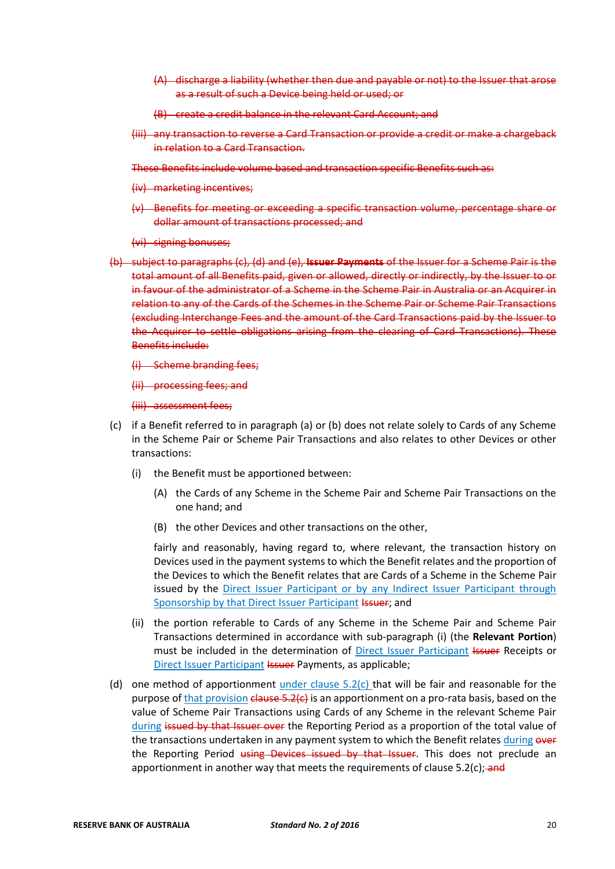- (A) discharge a liability (whether then due and payable or not) to the Issuer that arose as a result of such a Device being held or used; or
- (B) create a credit balance in the relevant Card Account; and
- (iii) any transaction to reverse a Card Transaction or provide a credit or make a chargeback in relation to a Card Transaction.

These Benefits include volume based and transaction specific Benefits such as:

- (iv) marketing incentives;
- (v) Benefits for meeting or exceeding a specific transaction volume, percentage share or dollar amount of transactions processed; and
- (vi) signing bonuses;
- (b) subject to paragraphs (c), (d) and (e), **Issuer Payments** of the Issuer for a Scheme Pair is the total amount of all Benefits paid, given or allowed, directly or indirectly, by the Issuer to or in favour of the administrator of a Scheme in the Scheme Pair in Australia or an Acquirer in relation to any of the Cards of the Schemes in the Scheme Pair or Scheme Pair Transactions (excluding Interchange Fees and the amount of the Card Transactions paid by the Issuer to the Acquirer to settle obligations arising from the clearing of Card Transactions). These Benefits include:
	- (i) Scheme branding fees;
	- (ii) processing fees; and
	- (iii) assessment fees;
- (c) if a Benefit referred to in paragraph (a) or (b) does not relate solely to Cards of any Scheme in the Scheme Pair or Scheme Pair Transactions and also relates to other Devices or other transactions:
	- (i) the Benefit must be apportioned between:
		- (A) the Cards of any Scheme in the Scheme Pair and Scheme Pair Transactions on the one hand; and
		- (B) the other Devices and other transactions on the other,

fairly and reasonably, having regard to, where relevant, the transaction history on Devices used in the payment systems to which the Benefit relates and the proportion of the Devices to which the Benefit relates that are Cards of a Scheme in the Scheme Pair issued by the Direct Issuer Participant or by any Indirect Issuer Participant through Sponsorship by that Direct Issuer Participant Issuer; and

- (ii) the portion referable to Cards of any Scheme in the Scheme Pair and Scheme Pair Transactions determined in accordance with sub-paragraph (i) (the **Relevant Portion**) must be included in the determination of Direct Issuer Participant Issuer Receipts or Direct Issuer Participant Issuer Payments, as applicable;
- (d) one method of apportionment under clause  $5.2(c)$  that will be fair and reasonable for the purpose of that provision  $\epsilon$ lause 5.2( $\epsilon$ ) is an apportionment on a pro-rata basis, based on the value of Scheme Pair Transactions using Cards of any Scheme in the relevant Scheme Pair during issued by that Issuer over the Reporting Period as a proportion of the total value of the transactions undertaken in any payment system to which the Benefit relates during over the Reporting Period using Devices issued by that Issuer. This does not preclude an apportionment in another way that meets the requirements of clause  $5.2(c)$ ; and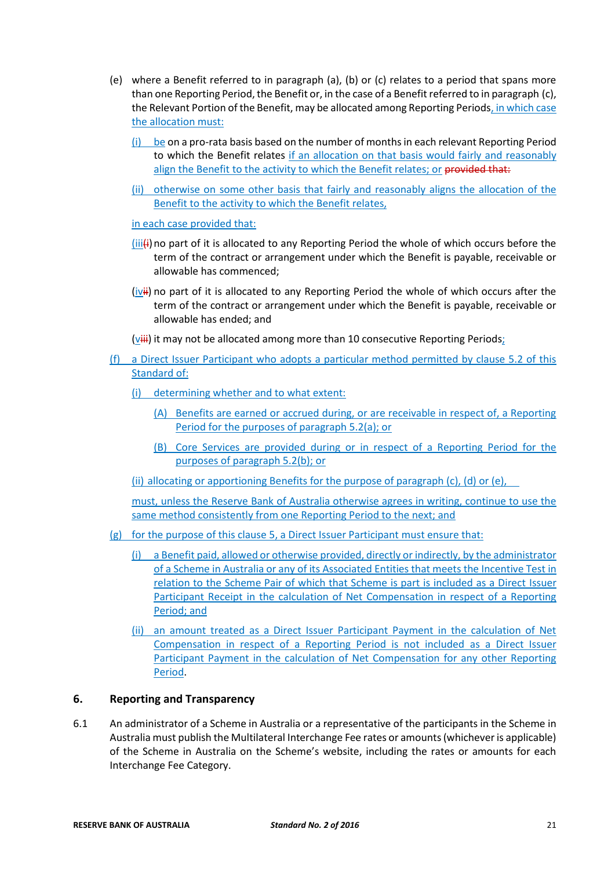- (e) where a Benefit referred to in paragraph (a), (b) or (c) relates to a period that spans more than one Reporting Period, the Benefit or, in the case of a Benefit referred to in paragraph (c), the Relevant Portion of the Benefit, may be allocated among Reporting Periods, in which case the allocation must:
	- (i) be on a pro-rata basis based on the number of months in each relevant Reporting Period to which the Benefit relates if an allocation on that basis would fairly and reasonably align the Benefit to the activity to which the Benefit relates; or provided that:
	- (ii) otherwise on some other basis that fairly and reasonably aligns the allocation of the Benefit to the activity to which the Benefit relates,

in each case provided that:

- $(iiiii)$ no part of it is allocated to any Reporting Period the whole of which occurs before the term of the contract or arrangement under which the Benefit is payable, receivable or allowable has commenced;
- (ivii) no part of it is allocated to any Reporting Period the whole of which occurs after the term of the contract or arrangement under which the Benefit is payable, receivable or allowable has ended; and
- ( $V^{\text{iii}}$ ) it may not be allocated among more than 10 consecutive Reporting Periods;
- (f) a Direct Issuer Participant who adopts a particular method permitted by clause 5.2 of this Standard of:
	- (i) determining whether and to what extent:
		- (A) Benefits are earned or accrued during, or are receivable in respect of, a Reporting Period for the purposes of paragraph 5.2(a); or
		- (B) Core Services are provided during or in respect of a Reporting Period for the purposes of paragraph 5.2(b); or

(ii) allocating or apportioning Benefits for the purpose of paragraph (c), (d) or (e),

must, unless the Reserve Bank of Australia otherwise agrees in writing, continue to use the same method consistently from one Reporting Period to the next; and

- (g) for the purpose of this clause 5, a Direct Issuer Participant must ensure that:
	- (i) a Benefit paid, allowed or otherwise provided, directly or indirectly, by the administrator of a Scheme in Australia or any of its Associated Entities that meets the Incentive Test in relation to the Scheme Pair of which that Scheme is part is included as a Direct Issuer Participant Receipt in the calculation of Net Compensation in respect of a Reporting Period; and
	- (ii) an amount treated as a Direct Issuer Participant Payment in the calculation of Net Compensation in respect of a Reporting Period is not included as a Direct Issuer Participant Payment in the calculation of Net Compensation for any other Reporting Period.

# **6. Reporting and Transparency**

6.1 An administrator of a Scheme in Australia or a representative of the participants in the Scheme in Australia must publish the Multilateral Interchange Fee rates or amounts (whichever is applicable) of the Scheme in Australia on the Scheme's website, including the rates or amounts for each Interchange Fee Category.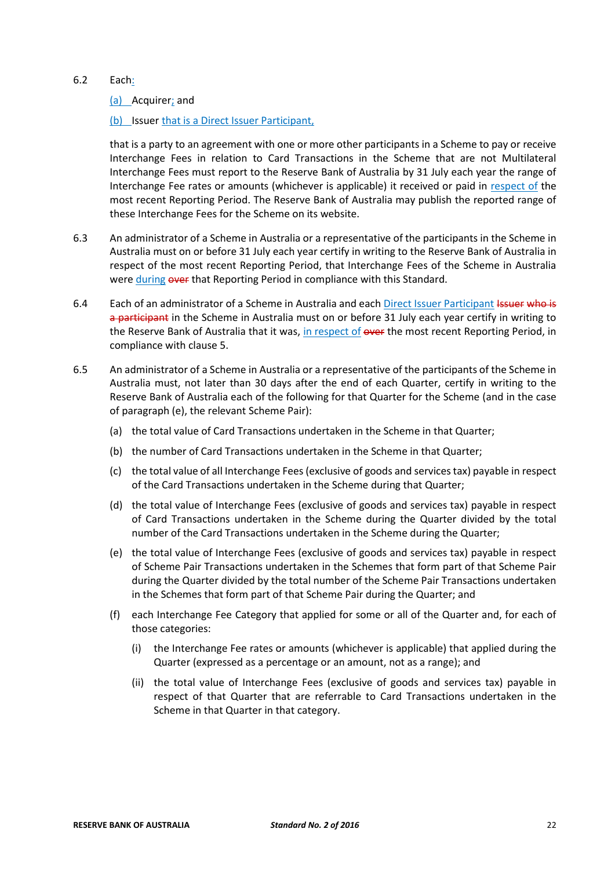#### 6.2 Each:

(a) Acquirer; and

(b) Issuer that is a Direct Issuer Participant,

that is a party to an agreement with one or more other participants in a Scheme to pay or receive Interchange Fees in relation to Card Transactions in the Scheme that are not Multilateral Interchange Fees must report to the Reserve Bank of Australia by 31 July each year the range of Interchange Fee rates or amounts (whichever is applicable) it received or paid in respect of the most recent Reporting Period. The Reserve Bank of Australia may publish the reported range of these Interchange Fees for the Scheme on its website.

- 6.3 An administrator of a Scheme in Australia or a representative of the participants in the Scheme in Australia must on or before 31 July each year certify in writing to the Reserve Bank of Australia in respect of the most recent Reporting Period, that Interchange Fees of the Scheme in Australia were during over that Reporting Period in compliance with this Standard.
- 6.4 Each of an administrator of a Scheme in Australia and each Direct Issuer Participant Issuer who is a participant in the Scheme in Australia must on or before 31 July each year certify in writing to the Reserve Bank of Australia that it was, in respect of over the most recent Reporting Period, in compliance with clause 5.
- 6.5 An administrator of a Scheme in Australia or a representative of the participants of the Scheme in Australia must, not later than 30 days after the end of each Quarter, certify in writing to the Reserve Bank of Australia each of the following for that Quarter for the Scheme (and in the case of paragraph (e), the relevant Scheme Pair):
	- (a) the total value of Card Transactions undertaken in the Scheme in that Quarter;
	- (b) the number of Card Transactions undertaken in the Scheme in that Quarter;
	- (c) the total value of all Interchange Fees (exclusive of goods and services tax) payable in respect of the Card Transactions undertaken in the Scheme during that Quarter;
	- (d) the total value of Interchange Fees (exclusive of goods and services tax) payable in respect of Card Transactions undertaken in the Scheme during the Quarter divided by the total number of the Card Transactions undertaken in the Scheme during the Quarter;
	- (e) the total value of Interchange Fees (exclusive of goods and services tax) payable in respect of Scheme Pair Transactions undertaken in the Schemes that form part of that Scheme Pair during the Quarter divided by the total number of the Scheme Pair Transactions undertaken in the Schemes that form part of that Scheme Pair during the Quarter; and
	- (f) each Interchange Fee Category that applied for some or all of the Quarter and, for each of those categories:
		- (i) the Interchange Fee rates or amounts (whichever is applicable) that applied during the Quarter (expressed as a percentage or an amount, not as a range); and
		- (ii) the total value of Interchange Fees (exclusive of goods and services tax) payable in respect of that Quarter that are referrable to Card Transactions undertaken in the Scheme in that Quarter in that category.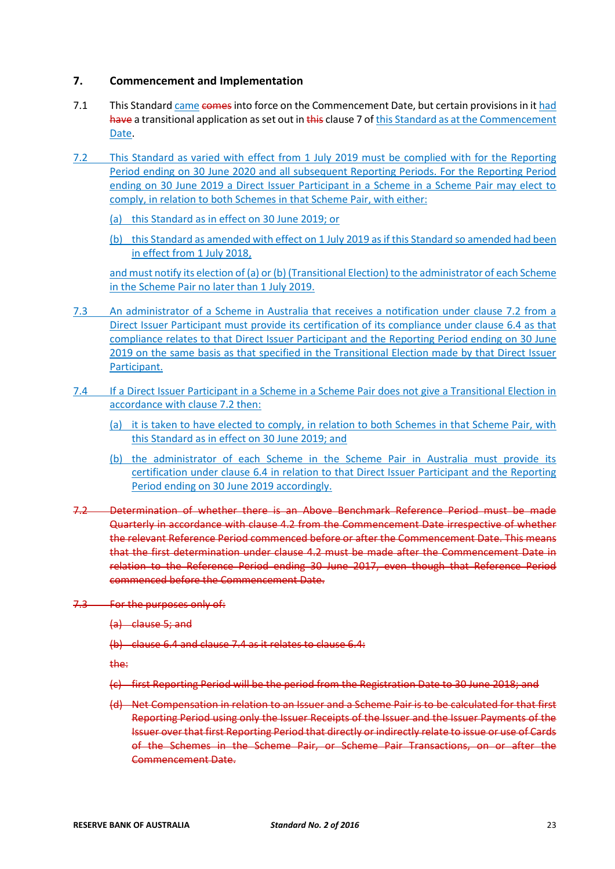### **7. Commencement and Implementation**

- 7.1 This Standard came comes into force on the Commencement Date, but certain provisions in it had have a transitional application as set out in this clause 7 of this Standard as at the Commencement Date.
- 7.2 This Standard as varied with effect from 1 July 2019 must be complied with for the Reporting Period ending on 30 June 2020 and all subsequent Reporting Periods. For the Reporting Period ending on 30 June 2019 a Direct Issuer Participant in a Scheme in a Scheme Pair may elect to comply, in relation to both Schemes in that Scheme Pair, with either:
	- (a) this Standard as in effect on 30 June 2019; or
	- (b) this Standard as amended with effect on 1 July 2019 as if this Standard so amended had been in effect from 1 July 2018,

and must notify its election of (a) or (b) (Transitional Election) to the administrator of each Scheme in the Scheme Pair no later than 1 July 2019.

- 7.3 An administrator of a Scheme in Australia that receives a notification under clause 7.2 from a Direct Issuer Participant must provide its certification of its compliance under clause 6.4 as that compliance relates to that Direct Issuer Participant and the Reporting Period ending on 30 June 2019 on the same basis as that specified in the Transitional Election made by that Direct Issuer Participant.
- 7.4 If a Direct Issuer Participant in a Scheme in a Scheme Pair does not give a Transitional Election in accordance with clause 7.2 then:
	- (a) it is taken to have elected to comply, in relation to both Schemes in that Scheme Pair, with this Standard as in effect on 30 June 2019; and
	- (b) the administrator of each Scheme in the Scheme Pair in Australia must provide its certification under clause 6.4 in relation to that Direct Issuer Participant and the Reporting Period ending on 30 June 2019 accordingly.
- 7.2 Determination of whether there is an Above Benchmark Reference Period must be made Quarterly in accordance with clause 4.2 from the Commencement Date irrespective of whether the relevant Reference Period commenced before or after the Commencement Date. This means that the first determination under clause 4.2 must be made after the Commencement Date in relation to the Reference Period ending 30 June 2017, even though that Reference Period commenced before the Commencement Date.
- 7.3 For the purposes only of:
	- (a) clause 5; and
	- (b) clause 6.4 and clause 7.4 as it relates to clause 6.4:

the:

- (c) first Reporting Period will be the period from the Registration Date to 30 June 2018; and
- (d) Net Compensation in relation to an Issuer and a Scheme Pair is to be calculated for that first Reporting Period using only the Issuer Receipts of the Issuer and the Issuer Payments of the Issuer over that first Reporting Period that directly or indirectly relate to issue or use of Cards of the Schemes in the Scheme Pair, or Scheme Pair Transactions, on or after the Commencement Date.